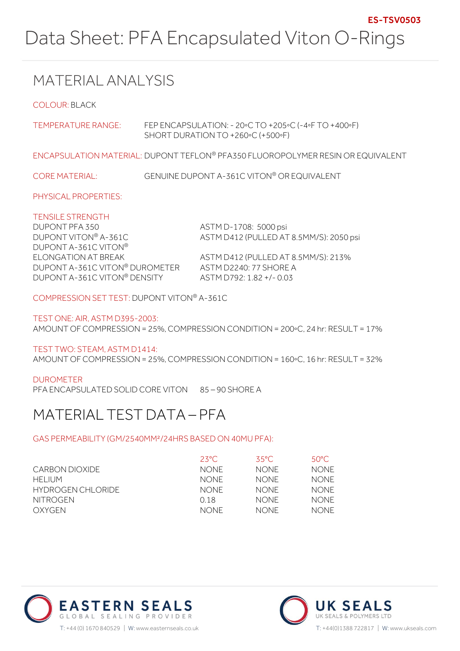# MATERIAL ANALYSIS

COLOUR: BLACK

| TEMPERATURE RANGE:                                                                        | FEP ENCAPSULATION: $-20\degree$ C TO $+205\degree$ C ( $-4\degree$ F TO $+400\degree$ F)<br>SHORT DURATION TO +260°C (+500°F) |
|-------------------------------------------------------------------------------------------|-------------------------------------------------------------------------------------------------------------------------------|
|                                                                                           | ENCAPSULATION MATERIAL: DUPONT TEFLON® PFA350 FLUOROPOLYMER RESIN OR EQUIVALENT                                               |
| <b>CORE MATERIAL:</b>                                                                     | GENUINE DUPONT A-361C VITON® OR EQUIVALENT                                                                                    |
| PHYSICAL PROPERTIES:                                                                      |                                                                                                                               |
| <b>TENSILE STRENGTH</b><br>DUPONT PFA 350<br>DUPONT VITON® A-361C<br>DUPONT A-361C VITON® | ASTM D-1708: 5000 psi<br>ASTM D412 (PULLED AT 8.5MM/S): 2050 psi                                                              |
| ELONGATION AT BREAK<br>DUPONT A-361C VITON® DUROMETER<br>DUPONT A-361C VITON® DENSITY     | ASTM D412 (PULLED AT 8.5MM/S): 213%<br>ASTM D2240: 77 SHORE A<br>ASTM D792: 1.82 +/- 0.03                                     |

COMPRESSION SET TEST: DUPONT VITON® A-361C

TEST ONE: AIR, ASTM D395-2003: AMOUNT OF COMPRESSION = 25%, COMPRESSION CONDITION = 200◦C, 24 hr: RESULT = 17%

TEST TWO: STEAM, ASTM D1414:

AMOUNT OF COMPRESSION = 25%, COMPRESSION CONDITION = 160◦C, 16 hr: RESULT = 32%

# DUROMETER

PFA ENCAPSULATED SOLID CORE VITON 85 – 90 SHORE A

# MATERIAL TEST DATA – PFA

# GAS PERMEABILITY (GM/2540MM²/24HRS BASED ON 40MU PFA):

|                   | $23^{\circ}$ C | 35°C.       | 50°C.       |
|-------------------|----------------|-------------|-------------|
| CARBON DIOXIDE    | NONF.          | <b>NONE</b> | <b>NONE</b> |
| HFI IUM           | NONF.          | <b>NONE</b> | <b>NONE</b> |
| HYDROGEN CHLORIDE | NONF.          | <b>NONE</b> | <b>NONE</b> |
| NITROGEN          | O 18           | <b>NONE</b> | <b>NONE</b> |
| OXYGEN            | NONF.          | <b>NONE</b> | <b>NONE</b> |



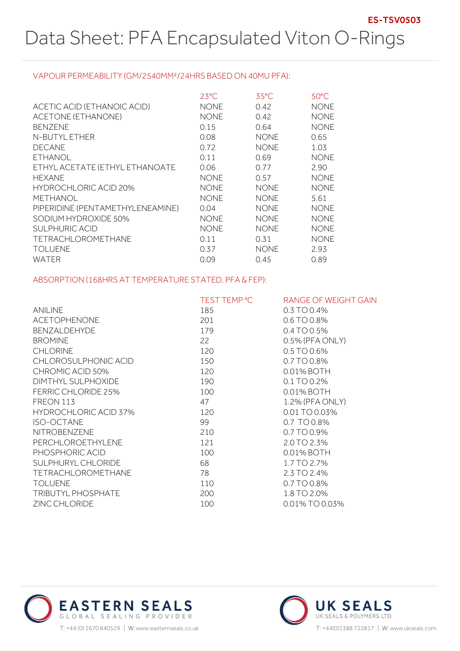### VAPOUR PERMEABILITY (GM/2540MM²/24HRS BASED ON 40MU PFA):

|                                  | $23^{\circ}$ C | $35^{\circ}$ C | $50^{\circ}$ C |
|----------------------------------|----------------|----------------|----------------|
| ACETIC ACID (ETHANOIC ACID)      | <b>NONE</b>    | 0.42           | <b>NONE</b>    |
| ACETONE (ETHANONE)               | <b>NONE</b>    | 0.42           | <b>NONE</b>    |
| <b>BENZENE</b>                   | 0.15           | 0.64           | <b>NONE</b>    |
| N-BUTYL ETHER                    | 0.08           | <b>NONE</b>    | 0.65           |
| <b>DECANE</b>                    | 0.72           | <b>NONE</b>    | 1.03           |
| <b>ETHANOL</b>                   | 0.11           | 0.69           | <b>NONE</b>    |
| ETHYL ACETATE (ETHYL ETHANOATE   | 0.06           | 0.77           | 2.90           |
| <b>HEXANE</b>                    | <b>NONE</b>    | 0.57           | <b>NONE</b>    |
| <b>HYDROCHLORIC ACID 20%</b>     | <b>NONE</b>    | <b>NONE</b>    | <b>NONE</b>    |
| <b>METHANOL</b>                  | <b>NONE</b>    | <b>NONE</b>    | 5.61           |
| PIPERIDINE (PENTAMETHYLENEAMINE) | 0.04           | <b>NONE</b>    | <b>NONE</b>    |
| SODIUM HYDROXIDE 50%             | <b>NONE</b>    | <b>NONE</b>    | <b>NONE</b>    |
| <b>SULPHURIC ACID</b>            | <b>NONE</b>    | <b>NONE</b>    | <b>NONE</b>    |
| <b>TETRACHLOROMETHANE</b>        | 0.11           | 0.31           | <b>NONE</b>    |
| <b>TOLUENE</b>                   | 0.37           | <b>NONE</b>    | 2.93           |
| WATER                            | 0.09           | 0.45           | 0.89           |

# ABSORPTION (168HRS AT TEMPERATURE STATED, PFA & FEP):

|                              | TEST TEMP °C | RANGE OF WEIGHT GAIN |
|------------------------------|--------------|----------------------|
| <b>ANILINE</b>               | 185          | 0.3 TO 0.4%          |
| <b>ACETOPHENONE</b>          | 201          | $0.6$ TO 0.8%        |
| BENZALDEHYDE                 | 179          | $0.4$ TO 0.5%        |
| <b>BROMINE</b>               | 22           | 0.5% (PFA ONLY)      |
| <b>CHLORINE</b>              | 120          | $0.5$ TO 0.6%        |
| CHLOROSULPHONIC ACID         | 150          | 0.7 TO 0.8%          |
| CHROMIC ACID 50%             | 120          | 0.01% BOTH           |
| DIMTHYL SULPHOXIDE           | 190          | 0.1 TO 0.2%          |
| <b>FERRIC CHLORIDE 25%</b>   | 100          | 0.01% BOTH           |
| FREON 113                    | 47           | 1.2% (PFA ONLY)      |
| <b>HYDROCHLORIC ACID 37%</b> | 120          | 0.01 TO 0.03%        |
| ISO-OCTANE                   | 99           | 0.7 TO 0.8%          |
| NITROBENZENE                 | 210          | 0.7 TO 0.9%          |
| <b>PERCHLOROETHYLENE</b>     | 121          | 2.0 TO 2.3%          |
| PHOSPHORIC ACID              | 100          | 0.01% BOTH           |
| SULPHURYL CHLORIDE           | 68           | 1.7 TO 2.7%          |
| <b>TETRACHLOROMETHANE</b>    | 78           | 2.3 TO 2.4%          |
| <b>TOLUENE</b>               | 110          | 0.7 TO 0.8%          |
| TRIBUTYL PHOSPHATE           | 200          | 1.8 TO 2.0%          |
| <b>ZINC CHLORIDE</b>         | 100          | 0.01% TO 0.03%       |



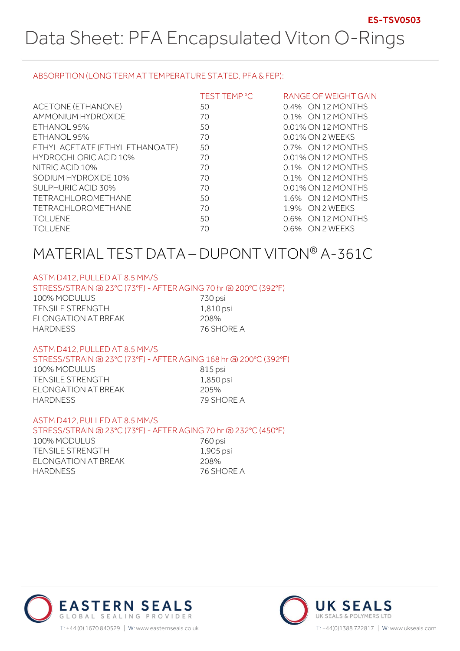# ABSORPTION (LONG TERM AT TEMPERATURE STATED, PFA & FEP):

|                                 | TEST TEMP °C | RANGE OF WEIGHT GAIN |
|---------------------------------|--------------|----------------------|
| ACETONE (ETHANONE)              | 50           | 0.4% ON 12 MONTHS    |
| AMMONIUM HYDROXIDE              | 70           | 0.1% ON 12 MONTHS    |
| ETHANOL 95%                     | 50           | 0.01% ON 12 MONTHS   |
| ETHANOL 95%                     | 70           | 0.01% ON 2 WEEKS     |
| ETHYL ACETATE (ETHYL ETHANOATE) | 50           | 0.7% ON 12 MONTHS    |
| <b>HYDROCHLORIC ACID 10%</b>    | 70           | 0.01% ON 12 MONTHS   |
| NITRIC ACID 10%                 | 70           | 0.1% ON 12 MONTHS    |
| SODIUM HYDROXIDE 10%            | 70           | 0.1% ON 12 MONTHS    |
| SULPHURIC ACID 30%              | 70           | 0.01% ON 12 MONTHS   |
| <b>TETRACHLOROMETHANE</b>       | 50           | 1.6% ON 12 MONTHS    |
| <b>TETRACHLOROMETHANE</b>       | 70           | 1.9% ON 2 WEEKS      |
| <b>TOLUENE</b>                  | 50           | 0.6% ON 12 MONTHS    |
| <b>TOLUENE</b>                  | 70           | 0.6% ON 2 WEEKS      |

# MATERIAL TEST DATA – DUPONT VITON® A-361C

#### ASTM D412, PULLED AT 8.5 MM/S

#### STRESS/STRAIN @ 23°C (73°F) - AFTER AGING 70 hr @ 200°C (392°F)

| 100% MODULUS        | 730 psi    |
|---------------------|------------|
| TENSILE STRENGTH    | 1,810 psi  |
| ELONGATION AT BREAK | 208%       |
| HARDNESS            | 76 SHORE A |

#### ASTM D412, PULLED AT 8.5 MM/S

# STRESS/STRAIN @ 23°C (73°F) - AFTER AGING 168 hr @ 200°C (392°F)

100% MODULUS 815 psi TENSILE STRENGTH 1,850 psi ELONGATION AT BREAK 205% HARDNESS 79 SHORE A

### ASTM D412, PULLED AT 8.5 MM/S

### STRESS/STRAIN @ 23°C (73°F) - AFTER AGING 70 hr @ 232°C (450°F)

100% MODULUS 760 psi TENSILE STRENGTH 1,905 psi ELONGATION AT BREAK 208% HARDNESS 76 SHORE A



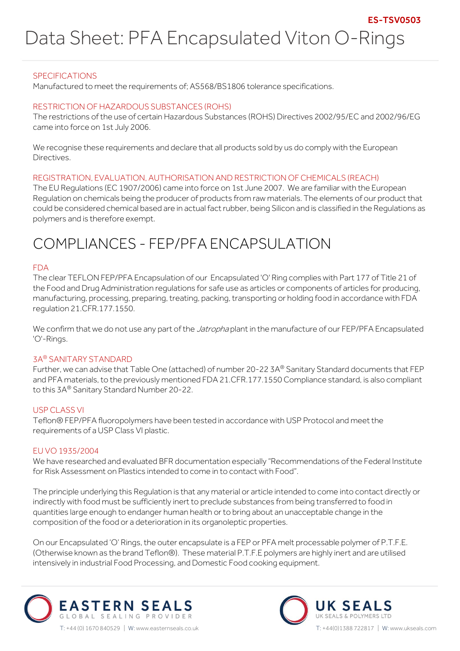# SPECIFICATIONS

Manufactured to meet the requirements of; AS568/BS1806 tolerance specifications.

### RESTRICTION OF HAZARDOUS SUBSTANCES (ROHS)

The restrictions of the use of certain Hazardous Substances (ROHS) Directives 2002/95/EC and 2002/96/EG came into force on 1st July 2006.

We recognise these requirements and declare that all products sold by us do comply with the European Directives.

### REGISTRATION, EVALUATION, AUTHORISATION AND RESTRICTION OF CHEMICALS (REACH)

The EU Regulations (EC 1907/2006) came into force on 1st June 2007. We are familiar with the European Regulation on chemicals being the producer of products from raw materials. The elements of our product that could be considered chemical based are in actual fact rubber, being Silicon and is classified in the Regulations as polymers and is therefore exempt.

# COMPLIANCES - FEP/PFA ENCAPSULATION

### FDA

The clear TEFLON FEP/PFA Encapsulation of our Encapsulated 'O' Ring complies with Part 177 of Title 21 of the Food and Drug Administration regulations for safe use as articles or components of articles for producing, manufacturing, processing, preparing, treating, packing, transporting or holding food in accordance with FDA regulation 21.CFR.177.1550.

We confirm that we do not use any part of the *Jatropha* plant in the manufacture of our FEP/PFA Encapsulated 'O'-Rings.

### 3A® SANITARY STANDARD

Further, we can advise that Table One (attached) of number 20-22 3A® Sanitary Standard documents that FEP and PFA materials, to the previously mentioned FDA 21.CFR.177.1550 Compliance standard, is also compliant to this 3A® Sanitary Standard Number 20-22.

#### USP CLASS VI

Teflon® FEP/PFA fluoropolymers have been tested in accordance with USP Protocol and meet the requirements of a USP Class VI plastic.

#### EU VO 1935/2004

We have researched and evaluated BFR documentation especially "Recommendations of the Federal Institute for Risk Assessment on Plastics intended to come in to contact with Food".

The principle underlying this Regulation is that any material or article intended to come into contact directly or indirectly with food must be sufficiently inert to preclude substances from being transferred to food in quantities large enough to endanger human health or to bring about an unacceptable change in the composition of the food or a deterioration in its organoleptic properties.

On our Encapsulated 'O' Rings, the outer encapsulate is a FEP or PFA melt processable polymer of P.T.F.E. (Otherwise known as the brand Teflon®). These material P.T.F.E polymers are highly inert and are utilised intensively in industrial Food Processing, and Domestic Food cooking equipment.